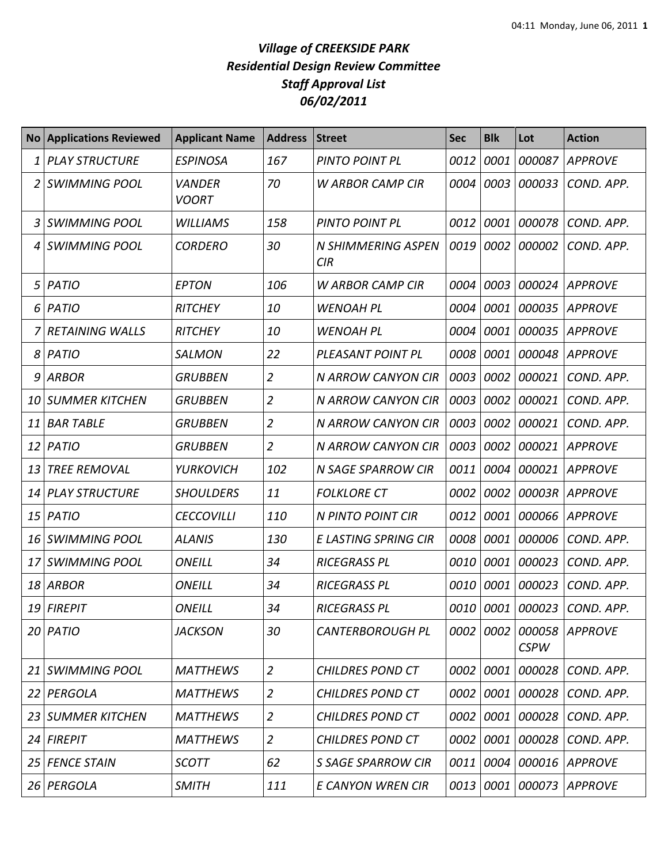## *Village of CREEKSIDE PARK Residential Design Review Committee Staff Approval List 06/02/2011*

| <b>No</b> | <b>Applications Reviewed</b> | <b>Applicant Name</b>         | <b>Address</b> | <b>Street</b>                    | <b>Sec</b> | <b>Blk</b> | Lot                   | <b>Action</b>  |
|-----------|------------------------------|-------------------------------|----------------|----------------------------------|------------|------------|-----------------------|----------------|
| 1         | <b>PLAY STRUCTURE</b>        | <b>ESPINOSA</b>               | 167            | <b>PINTO POINT PL</b>            | 0012       | 0001       | 000087                | <b>APPROVE</b> |
|           | <b>SWIMMING POOL</b>         | <b>VANDER</b><br><b>VOORT</b> | 70             | <b>W ARBOR CAMP CIR</b>          | 0004       | 0003       | 000033                | COND. APP.     |
| 3         | <b>SWIMMING POOL</b>         | <b>WILLIAMS</b>               | 158            | PINTO POINT PL                   | 0012       | 0001       | 000078                | COND. APP.     |
| 4         | <b>SWIMMING POOL</b>         | <b>CORDERO</b>                | 30             | <b>N SHIMMERING ASPEN</b><br>CIR | 0019       | 0002       | 000002                | COND. APP.     |
| 5         | PATIO                        | <b>EPTON</b>                  | 106            | <b>W ARBOR CAMP CIR</b>          | 0004       | 0003       | 000024                | <b>APPROVE</b> |
| 6         | <b>PATIO</b>                 | <b>RITCHEY</b>                | 10             | <b>WENOAH PL</b>                 | 0004       | 0001       | 000035                | <b>APPROVE</b> |
|           | <b>RETAINING WALLS</b>       | <b>RITCHEY</b>                | 10             | <b>WENOAH PL</b>                 | 0004       | 0001       | 000035                | <b>APPROVE</b> |
| 8         | <b>PATIO</b>                 | <b>SALMON</b>                 | 22             | PLEASANT POINT PL                | 0008       | 0001       | 000048                | <b>APPROVE</b> |
| 9         | <b>ARBOR</b>                 | <b>GRUBBEN</b>                | $\overline{2}$ | N ARROW CANYON CIR               | 0003       | 0002       | 000021                | COND. APP.     |
| 10        | <b>SUMMER KITCHEN</b>        | <b>GRUBBEN</b>                | $\overline{2}$ | N ARROW CANYON CIR               | 0003       | 0002       | 000021                | COND. APP.     |
| 11        | <b>BAR TABLE</b>             | <b>GRUBBEN</b>                | $\overline{2}$ | N ARROW CANYON CIR               | 0003       | 0002       | 000021                | COND. APP.     |
| 12        | <b>PATIO</b>                 | <b>GRUBBEN</b>                | $\overline{2}$ | <b>N ARROW CANYON CIR</b>        | 0003       | 0002       | 000021                | <b>APPROVE</b> |
| 13        | <b>TREE REMOVAL</b>          | <b>YURKOVICH</b>              | 102            | N SAGE SPARROW CIR               | 0011       | 0004       | 000021                | <b>APPROVE</b> |
| 14        | <b>PLAY STRUCTURE</b>        | <b>SHOULDERS</b>              | 11             | <b>FOLKLORE CT</b>               | 0002       | 0002       | 00003R                | <b>APPROVE</b> |
| 15        | <b>PATIO</b>                 | <b>CECCOVILLI</b>             | 110            | N PINTO POINT CIR                | 0012       | 0001       | 000066                | <b>APPROVE</b> |
| 16        | <b>SWIMMING POOL</b>         | <b>ALANIS</b>                 | 130            | E LASTING SPRING CIR             | 0008       | 0001       | 000006                | COND. APP.     |
| 17        | <b>SWIMMING POOL</b>         | <b>ONEILL</b>                 | 34             | <b>RICEGRASS PL</b>              | 0010       | 0001       | 000023                | COND. APP.     |
| 18        | <b>ARBOR</b>                 | <b>ONEILL</b>                 | 34             | <b>RICEGRASS PL</b>              | 0010       | 0001       | 000023                | COND. APP.     |
| 19        | <b>FIREPIT</b>               | <b>ONEILL</b>                 | 34             | <b>RICEGRASS PL</b>              | 0010       | 0001       | 000023                | COND. APP.     |
| 20        | PATIO                        | <b>JACKSON</b>                | 30             | <b>CANTERBOROUGH PL</b>          | 0002       | 0002       | 000058<br><b>CSPW</b> | <b>APPROVE</b> |
| 21        | <b>SWIMMING POOL</b>         | <b>MATTHEWS</b>               | $\overline{2}$ | <b>CHILDRES POND CT</b>          | 0002       | 0001       | 000028                | COND. APP.     |
| 22        | PERGOLA                      | <b>MATTHEWS</b>               | $\overline{2}$ | <b>CHILDRES POND CT</b>          | 0002       | 0001       | 000028                | COND. APP.     |
| 23        | <b>SUMMER KITCHEN</b>        | <b>MATTHEWS</b>               | $\overline{2}$ | <b>CHILDRES POND CT</b>          | 0002       | 0001       | 000028                | COND. APP.     |
| 24        | <b>FIREPIT</b>               | <b>MATTHEWS</b>               | $\overline{2}$ | <b>CHILDRES POND CT</b>          | 0002       | 0001       | 000028                | COND. APP.     |
| 25        | <b>FENCE STAIN</b>           | <b>SCOTT</b>                  | 62             | <b>S SAGE SPARROW CIR</b>        | 0011       | 0004       | 000016                | APPROVE        |
| 26        | PERGOLA                      | <b>SMITH</b>                  | 111            | E CANYON WREN CIR                | 0013       | 0001       | 000073                | <b>APPROVE</b> |